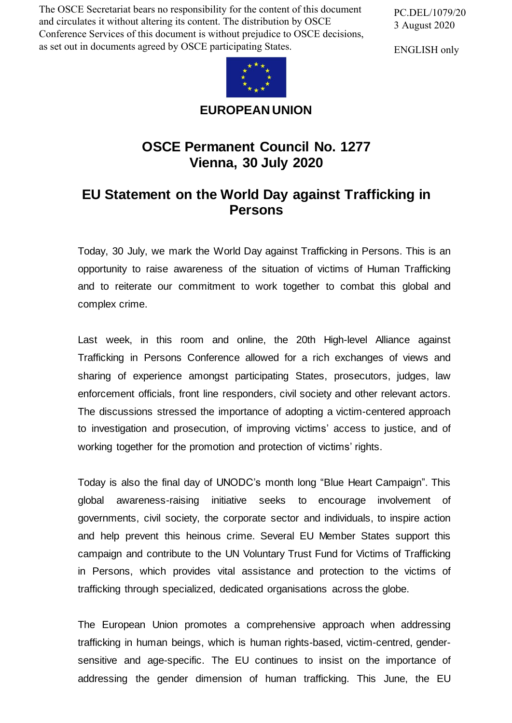The OSCE Secretariat bears no responsibility for the content of this document and circulates it without altering its content. The distribution by OSCE Conference Services of this document is without prejudice to OSCE decisions, as set out in documents agreed by OSCE participating States.

PC.DEL/1079/20 3 August 2020

ENGLISH only



**EUROPEAN UNION**

## **OSCE Permanent Council No. 1277 Vienna, 30 July 2020**

## **EU Statement on the World Day against Trafficking in Persons**

Today, 30 July, we mark the World Day against Trafficking in Persons. This is an opportunity to raise awareness of the situation of victims of Human Trafficking and to reiterate our commitment to work together to combat this global and complex crime.

Last week, in this room and online, the 20th High-level Alliance against Trafficking in Persons Conference allowed for a rich exchanges of views and sharing of experience amongst participating States, prosecutors, judges, law enforcement officials, front line responders, civil society and other relevant actors. The discussions stressed the importance of adopting a victim-centered approach to investigation and prosecution, of improving victims' access to justice, and of working together for the promotion and protection of victims' rights.

Today is also the final day of UNODC's month long "Blue Heart Campaign". This global awareness-raising initiative seeks to encourage involvement of governments, civil society, the corporate sector and individuals, to inspire action and help prevent this heinous crime. Several EU Member States support this campaign and contribute to the UN Voluntary Trust Fund for Victims of Trafficking in Persons, which provides vital assistance and protection to the victims of trafficking through specialized, dedicated organisations across the globe.

The European Union promotes a comprehensive approach when addressing trafficking in human beings, which is human rights-based, victim-centred, gendersensitive and age-specific. The EU continues to insist on the importance of addressing the gender dimension of human trafficking. This June, the EU